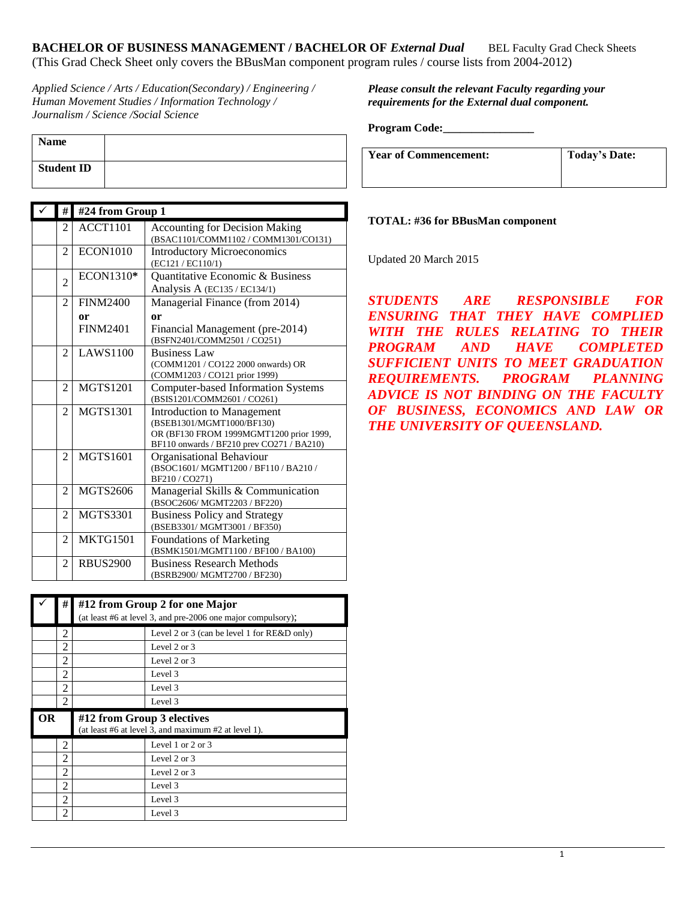*Applied Science / Arts / Education(Secondary) / Engineering / Human Movement Studies / Information Technology / Journalism / Science /Social Science*

| <b>Name</b>       |  |
|-------------------|--|
| <b>Student ID</b> |  |

| $\checkmark$ | #              | #24 from Group 1 |                                                                                                                                                        |
|--------------|----------------|------------------|--------------------------------------------------------------------------------------------------------------------------------------------------------|
|              | $\overline{c}$ | <b>ACCT1101</b>  | <b>Accounting for Decision Making</b><br>(BSAC1101/COMM1102 / COMM1301/CO131)                                                                          |
|              | 2              | <b>ECON1010</b>  | <b>Introductory Microeconomics</b><br>(EC121 / EC110/1)                                                                                                |
|              | $\mathfrak{D}$ | ECON1310*        | Quantitative Economic & Business                                                                                                                       |
|              |                |                  | Analysis A (EC135 / EC134/1)                                                                                                                           |
|              | $\mathfrak{D}$ | <b>FINM2400</b>  | Managerial Finance (from 2014)                                                                                                                         |
|              |                | or               | or                                                                                                                                                     |
|              |                | <b>FINM2401</b>  | Financial Management (pre-2014)<br>(BSFN2401/COMM2501 / CO251)                                                                                         |
|              | 2              | <b>LAWS1100</b>  | <b>Business Law</b><br>(COMM1201 / CO122 2000 onwards) OR<br>(COMM1203 / CO121 prior 1999)                                                             |
|              | $\overline{c}$ | <b>MGTS1201</b>  | <b>Computer-based Information Systems</b><br>(BSIS1201/COMM2601 / CO261)                                                                               |
|              | 2              | <b>MGTS1301</b>  | <b>Introduction to Management</b><br>(BSEB1301/MGMT1000/BF130)<br>OR (BF130 FROM 1999MGMT1200 prior 1999,<br>BF110 onwards / BF210 prev CO271 / BA210) |
|              | $\mathfrak{D}$ | <b>MGTS1601</b>  | Organisational Behaviour<br>(BSOC1601/MGMT1200/BF110/BA210/<br>BF210/CO271)                                                                            |
|              | $\overline{c}$ | MGTS2606         | Managerial Skills & Communication<br>(BSOC2606/MGMT2203/BF220)                                                                                         |
|              | $\overline{c}$ | <b>MGTS3301</b>  | <b>Business Policy and Strategy</b><br>(BSEB3301/MGMT3001 / BF350)                                                                                     |
|              | $\overline{2}$ | <b>MKTG1501</b>  | <b>Foundations of Marketing</b><br>(BSMK1501/MGMT1100 / BF100 / BA100)                                                                                 |
|              | 2              | <b>RBUS2900</b>  | <b>Business Research Methods</b><br>(BSRB2900/MGMT2700 / BF230)                                                                                        |

|    | #              |                            | #12 from Group 2 for one Major                               |  |
|----|----------------|----------------------------|--------------------------------------------------------------|--|
|    |                |                            | (at least #6 at level 3, and pre-2006 one major compulsory); |  |
|    | 2              |                            | Level 2 or 3 (can be level 1 for $RE&D$ only)                |  |
|    | 2              |                            | Level $2$ or $3$                                             |  |
|    | 2              |                            | Level 2 or 3                                                 |  |
|    | $\overline{c}$ |                            | Level 3                                                      |  |
|    | 2              |                            | Level 3                                                      |  |
|    | 2              |                            | Level 3                                                      |  |
|    |                |                            |                                                              |  |
| OR |                |                            |                                                              |  |
|    |                | #12 from Group 3 electives | (at least #6 at level 3, and maximum #2 at level 1).         |  |
|    | 2              |                            | Level 1 or 2 or 3                                            |  |
|    | 2              |                            | Level $2$ or $3$                                             |  |
|    | 2              |                            | Level $2$ or $3$                                             |  |
|    | $\overline{2}$ |                            | Level 3                                                      |  |
|    | 2              |                            | Level 3                                                      |  |

*Please consult the relevant Faculty regarding your requirements for the External dual component.*

**Program Code:\_\_\_\_\_\_\_\_\_\_\_\_\_\_\_\_**

| <b>Year of Commencement:</b> | Today's Date: |
|------------------------------|---------------|
|                              |               |

#### **TOTAL: #36 for BBusMan component**

Updated 20 March 2015

*STUDENTS ARE RESPONSIBLE FOR ENSURING THAT THEY HAVE COMPLIED WITH THE RULES RELATING TO THEIR PROGRAM AND HAVE COMPLETED SUFFICIENT UNITS TO MEET GRADUATION REQUIREMENTS. PROGRAM PLANNING ADVICE IS NOT BINDING ON THE FACULTY OF BUSINESS, ECONOMICS AND LAW OR THE UNIVERSITY OF QUEENSLAND.*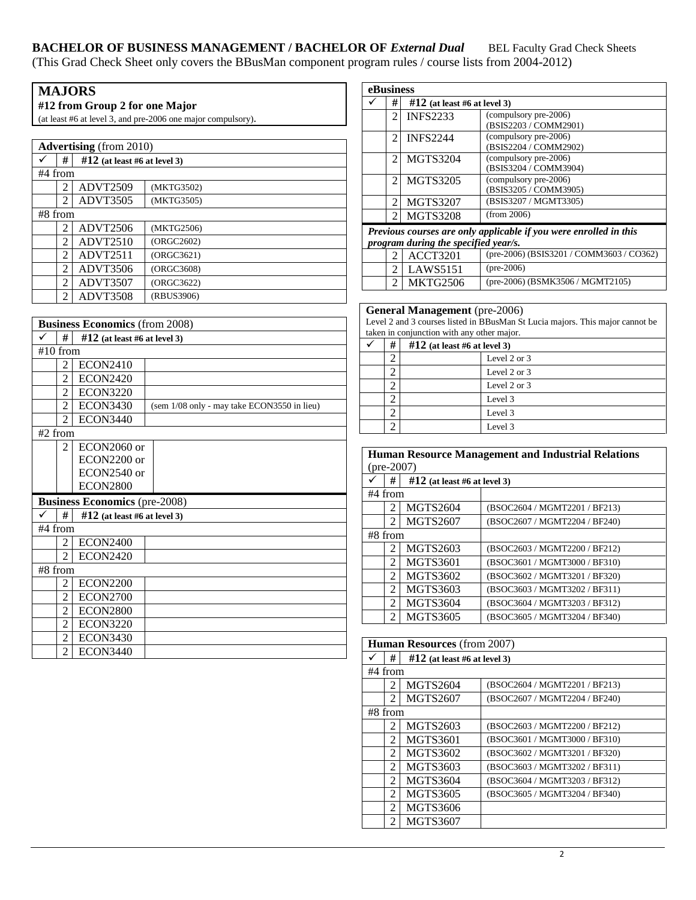| <b>MAJORS</b><br>#12 from Group 2 for one Major |                                |                                                              |  |  |
|-------------------------------------------------|--------------------------------|--------------------------------------------------------------|--|--|
|                                                 |                                | (at least #6 at level 3, and pre-2006 one major compulsory). |  |  |
|                                                 |                                |                                                              |  |  |
|                                                 | <b>Advertising</b> (from 2010) |                                                              |  |  |
| #                                               | $#12$ (at least #6 at level 3) |                                                              |  |  |
| #4 from                                         |                                |                                                              |  |  |
| 2                                               | ADVT2509                       | (MKTG3502)                                                   |  |  |
| 2                                               | ADVT3505                       | (MKTG3505)                                                   |  |  |
| #8 from                                         |                                |                                                              |  |  |
| 2                                               | ADVT2506                       | (MKTG2506)                                                   |  |  |
| 2                                               | <b>ADVT2510</b>                | (ORGC2602)                                                   |  |  |
| 2                                               | ADVT2511                       | (ORGC3621)                                                   |  |  |
| 2                                               | ADVT3506                       | (ORGC3608)                                                   |  |  |
| 2                                               | ADVT3507                       | (ORGC3622)                                                   |  |  |
| 2                                               | ADVT3508                       | (RBUS3906)                                                   |  |  |

|            | <b>Business Economics</b> (from 2008) |                                      |                                             |  |
|------------|---------------------------------------|--------------------------------------|---------------------------------------------|--|
| ✓          | #                                     | $\#12$ (at least #6 at level 3)      |                                             |  |
| $#10$ from |                                       |                                      |                                             |  |
|            | $\overline{c}$                        | <b>ECON2410</b>                      |                                             |  |
|            | $\mathfrak{D}$                        | <b>ECON2420</b>                      |                                             |  |
|            | $\mathfrak{D}$                        | <b>ECON3220</b>                      |                                             |  |
|            | $\overline{c}$                        | <b>ECON3430</b>                      | (sem 1/08 only - may take ECON3550 in lieu) |  |
|            | $\mathfrak{D}$                        | <b>ECON3440</b>                      |                                             |  |
| $#2$ from  |                                       |                                      |                                             |  |
|            | 2                                     | ECON2060 or                          |                                             |  |
|            |                                       | ECON2200 or                          |                                             |  |
|            |                                       | ECON2540 or                          |                                             |  |
|            |                                       | <b>ECON2800</b>                      |                                             |  |
|            |                                       | <b>Business Economics</b> (pre-2008) |                                             |  |
|            | #                                     | $#12$ (at least #6 at level 3)       |                                             |  |
| #4 from    |                                       |                                      |                                             |  |
|            | 2                                     | <b>ECON2400</b>                      |                                             |  |
|            | $\mathfrak{D}$                        | <b>ECON2420</b>                      |                                             |  |
|            | #8 from                               |                                      |                                             |  |
|            | 2                                     | <b>ECON2200</b>                      |                                             |  |
|            | $\mathfrak{D}$                        | <b>ECON2700</b>                      |                                             |  |
|            | $\mathfrak{D}$                        | <b>ECON2800</b>                      |                                             |  |
|            | $\mathfrak{D}$                        | <b>ECON3220</b>                      |                                             |  |
|            | 2                                     | <b>ECON3430</b>                      |                                             |  |
|            | 2                                     | <b>ECON3440</b>                      |                                             |  |

| eBusiness                                                                                                 |                |                 |                                                |  |
|-----------------------------------------------------------------------------------------------------------|----------------|-----------------|------------------------------------------------|--|
|                                                                                                           | #              |                 | $#12$ (at least #6 at level 3)                 |  |
|                                                                                                           | $\mathfrak{D}$ | <b>INFS2233</b> | (compulsory pre-2006)<br>(BSIS2203 / COMM2901) |  |
|                                                                                                           | $\overline{2}$ | <b>INFS2244</b> | (compulsory pre-2006)<br>(BSIS2204 / COMM2902) |  |
|                                                                                                           | 2              | <b>MGTS3204</b> | (compulsory pre-2006)<br>(BSIS3204 / COMM3904) |  |
|                                                                                                           | 2              | <b>MGTS3205</b> | (compulsory pre-2006)<br>(BSIS3205 / COMM3905) |  |
|                                                                                                           | 2              | <b>MGTS3207</b> | (BSIS3207 / MGMT3305)                          |  |
|                                                                                                           | 2              | <b>MGTS3208</b> | (from 2006)                                    |  |
| Previous courses are only applicable if you were enrolled in this<br>program during the specified year/s. |                |                 |                                                |  |

|  | program and meg me speelfed fearist |                                           |
|--|-------------------------------------|-------------------------------------------|
|  | <b>ACCT3201</b>                     | (pre-2006) (BSIS3201 / COMM3603 / CO362)  |
|  | 2 LAWS5151                          | $(pre-2006)$                              |
|  | MKTG2506                            | $(\text{pre-2006})$ (BSMK3506 / MGMT2105) |

# **General Management** (pre-2006)

Level 2 and 3 courses listed in BBusMan St Lucia majors. This major cannot be taken in conjunction with any other major.

| # | $#12$ (at least #6 at level 3) |              |
|---|--------------------------------|--------------|
|   |                                | Level 2 or 3 |
|   |                                | Level 2 or 3 |
| ◠ |                                | Level 2 or 3 |
|   |                                | Level 3      |
|   |                                | Level 3      |
|   |                                | Level 3      |

#### **Human Resource Management and Industrial Relations**  (pre-2007)

|           | #              | $#12$ (at least #6 at level 3) |                               |
|-----------|----------------|--------------------------------|-------------------------------|
| $#4$ from |                |                                |                               |
|           | 2              | <b>MGTS2604</b>                | (BSOC2604 / MGMT2201 / BF213) |
|           | $\mathfrak{D}$ | <b>MGTS2607</b>                | (BSOC2607 / MGMT2204 / BF240) |
| $#8$ from |                |                                |                               |
|           | 2              | <b>MGTS2603</b>                | (BSOC2603 / MGMT2200 / BF212) |
|           | $\mathcal{L}$  | <b>MGTS3601</b>                | (BSOC3601 / MGMT3000 / BF310) |
|           | $\mathfrak{D}$ | <b>MGTS3602</b>                | (BSOC3602 / MGMT3201 / BF320) |
|           | 2              | <b>MGTS3603</b>                | (BSOC3603 / MGMT3202 / BF311) |
|           | 2              | <b>MGTS3604</b>                | (BSOC3604 / MGMT3203 / BF312) |
|           | $\mathfrak{D}$ | <b>MGTS3605</b>                | (BSOC3605 / MGMT3204 / BF340) |

# **Human Resources** (from 2007)

| #              | $\#12$ (at least #6 at level 3) |                               |
|----------------|---------------------------------|-------------------------------|
| #4 from        |                                 |                               |
| 2              | <b>MGTS2604</b>                 | (BSOC2604 / MGMT2201 / BF213) |
| 2              | <b>MGTS2607</b>                 | (BSOC2607 / MGMT2204 / BF240) |
| $#8$ from      |                                 |                               |
| 2              | MGTS2603                        | (BSOC2603 / MGMT2200 / BF212) |
| 2              | <b>MGTS3601</b>                 | (BSOC3601 / MGMT3000 / BF310) |
| $\mathfrak{D}$ | MGTS3602                        | (BSOC3602 / MGMT3201 / BF320) |
| 2              | MGTS3603                        | (BSOC3603 / MGMT3202 / BF311) |
| $\mathfrak{D}$ | MGTS3604                        | (BSOC3604 / MGMT3203 / BF312) |
| 2              | <b>MGTS3605</b>                 | (BSOC3605 / MGMT3204 / BF340) |
| $\mathfrak{D}$ | <b>MGTS3606</b>                 |                               |
| 2              | <b>MGTS3607</b>                 |                               |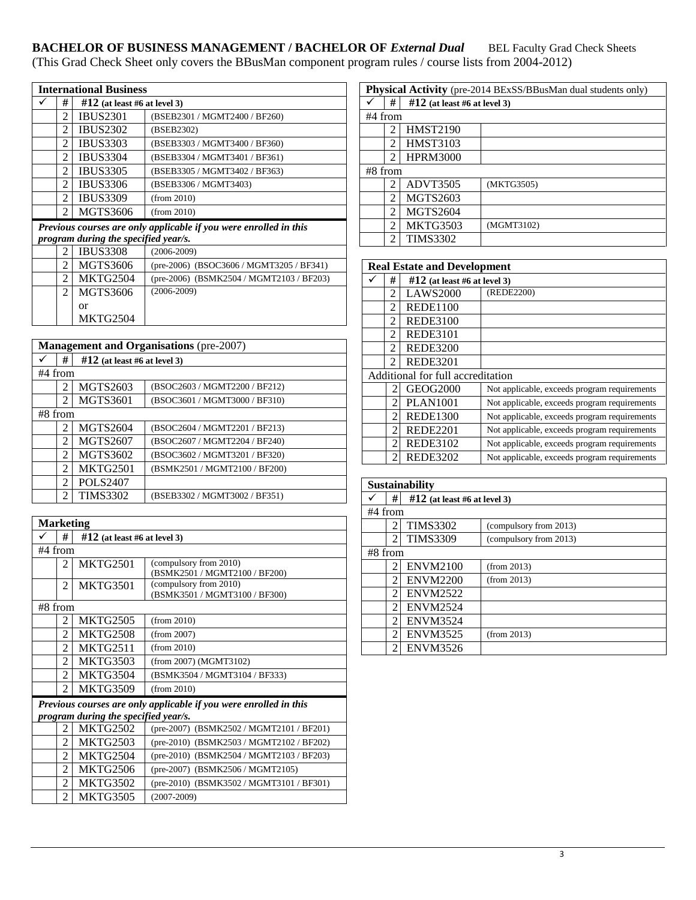| <b>International Business</b> |                             |                                      |                                                                   |
|-------------------------------|-----------------------------|--------------------------------------|-------------------------------------------------------------------|
|                               | #                           | $\#12$ (at least #6 at level 3)      |                                                                   |
|                               | $\mathfrak{D}$              | <b>IBUS2301</b>                      | (BSEB2301 / MGMT2400 / BF260)                                     |
|                               | 2                           | <b>IBUS2302</b>                      | (BSEB2302)                                                        |
|                               | 2                           | <b>IBUS3303</b>                      | (BSEB3303 / MGMT3400 / BF360)                                     |
|                               | $\mathfrak{D}$              | <b>IBUS3304</b>                      | (BSEB3304 / MGMT3401 / BF361)                                     |
|                               | $\mathcal{D}_{\mathcal{L}}$ | <b>IBUS3305</b>                      | (BSEB3305 / MGMT3402 / BF363)                                     |
|                               | $\mathfrak{D}$              | <b>IBUS3306</b>                      | (BSEB3306 / MGMT3403)                                             |
|                               | 2                           | <b>IBUS3309</b>                      | (from 2010)                                                       |
|                               | 2                           | <b>MGTS3606</b>                      | (from 2010)                                                       |
|                               |                             |                                      | Previous courses are only applicable if you were enrolled in this |
|                               |                             | program during the specified year/s. |                                                                   |
|                               | $\mathcal{L}$               | <b>IBUS3308</b>                      | $(2006 - 2009)$                                                   |
|                               | $\mathfrak{D}$              | <b>MGTS3606</b>                      | (pre-2006) (BSOC3606 / MGMT3205 / BF341)                          |
|                               | 2                           | <b>MKTG2504</b>                      | (pre-2006) (BSMK2504 / MGMT2103 / BF203)                          |
|                               | 2                           | MGTS3606                             | $(2006 - 2009)$                                                   |
|                               |                             | or                                   |                                                                   |

| <b>Management and Organisations (pre-2007)</b> |                |                                |                               |
|------------------------------------------------|----------------|--------------------------------|-------------------------------|
|                                                | #              | $#12$ (at least #6 at level 3) |                               |
| #4 from                                        |                |                                |                               |
|                                                | 2              | <b>MGTS2603</b>                | (BSOC2603 / MGMT2200 / BF212) |
|                                                | 2              | <b>MGTS3601</b>                | (BSOC3601 / MGMT3000 / BF310) |
| $#8$ from                                      |                |                                |                               |
|                                                | 2              | <b>MGTS2604</b>                | (BSOC2604 / MGMT2201 / BF213) |
|                                                | $\mathfrak{D}$ | <b>MGTS2607</b>                | (BSOC2607 / MGMT2204 / BF240) |
|                                                | 2              | <b>MGTS3602</b>                | (BSOC3602 / MGMT3201 / BF320) |
|                                                | $\mathfrak{D}$ | <b>MKTG2501</b>                | (BSMK2501 / MGMT2100 / BF200) |
|                                                | $\mathfrak{D}$ | <b>POLS2407</b>                |                               |
|                                                | $\mathfrak{D}$ | <b>TIMS3302</b>                | (BSEB3302 / MGMT3002 / BF351) |

MKTG2504

| <b>Marketing</b>                                                  |                |                                      |                                          |
|-------------------------------------------------------------------|----------------|--------------------------------------|------------------------------------------|
|                                                                   | #              | $\#12$ (at least #6 at level 3)      |                                          |
| #4 from                                                           |                |                                      |                                          |
|                                                                   | $\mathfrak{D}$ | <b>MKTG2501</b>                      | (compulsory from 2010)                   |
|                                                                   |                |                                      | (BSMK2501 / MGMT2100 / BF200)            |
|                                                                   | 2              | <b>MKTG3501</b>                      | (compulsory from 2010)                   |
|                                                                   |                |                                      | (BSMK3501 / MGMT3100 / BF300)            |
| #8 from                                                           |                |                                      |                                          |
|                                                                   | $\overline{c}$ | <b>MKTG2505</b>                      | (from 2010)                              |
|                                                                   | $\mathfrak{D}$ | <b>MKTG2508</b>                      | (from 2007)                              |
|                                                                   | $\mathfrak{D}$ | <b>MKTG2511</b>                      | (from 2010)                              |
|                                                                   | $\mathfrak{D}$ | <b>MKTG3503</b>                      | (from 2007) (MGMT3102)                   |
|                                                                   | $\mathfrak{D}$ | <b>MKTG3504</b>                      | (BSMK3504 / MGMT3104 / BF333)            |
|                                                                   | $\mathfrak{D}$ | <b>MKTG3509</b>                      | (from 2010)                              |
| Previous courses are only applicable if you were enrolled in this |                |                                      |                                          |
|                                                                   |                | program during the specified year/s. |                                          |
|                                                                   | 2              | <b>MKTG2502</b>                      | (pre-2007) (BSMK2502 / MGMT2101 / BF201) |
|                                                                   | $\mathfrak{D}$ | MKTG2503                             | (pre-2010) (BSMK2503 / MGMT2102 / BF202) |
|                                                                   | 2              | <b>MKTG2504</b>                      | (pre-2010) (BSMK2504 / MGMT2103 / BF203) |
|                                                                   | $\mathfrak{D}$ | <b>MKTG2506</b>                      | (pre-2007) (BSMK2506 / MGMT2105)         |
|                                                                   | 2              | MKTG3502                             | (pre-2010) (BSMK3502 / MGMT3101 / BF301) |
|                                                                   | 2              | <b>MKTG3505</b>                      | $(2007 - 2009)$                          |

| <b>Physical Activity</b> (pre-2014 BExSS/BBusMan dual students only) |                |                                |            |  |
|----------------------------------------------------------------------|----------------|--------------------------------|------------|--|
|                                                                      | #              | $#12$ (at least #6 at level 3) |            |  |
|                                                                      | #4 from        |                                |            |  |
|                                                                      | 2              | <b>HMST2190</b>                |            |  |
|                                                                      | $\mathfrak{D}$ | <b>HMST3103</b>                |            |  |
|                                                                      | $\mathfrak{D}$ | <b>HPRM3000</b>                |            |  |
|                                                                      | $#8$ from      |                                |            |  |
|                                                                      | 2              | ADVT3505                       | (MKTG3505) |  |
|                                                                      | $\mathfrak{D}$ | <b>MGTS2603</b>                |            |  |
|                                                                      | $\mathfrak{D}$ | <b>MGTS2604</b>                |            |  |
|                                                                      | 2              | MKTG3503                       | (MGMT3102) |  |
|                                                                      | 2              | <b>TIMS3302</b>                |            |  |

| <b>Real Estate and Development</b> |                |                                |                                              |
|------------------------------------|----------------|--------------------------------|----------------------------------------------|
|                                    | #              | $#12$ (at least #6 at level 3) |                                              |
|                                    | 2              | <b>LAWS2000</b>                | (REDE2200)                                   |
|                                    | 2              | <b>REDE1100</b>                |                                              |
|                                    | 2              | <b>REDE3100</b>                |                                              |
|                                    | 2              | <b>REDE3101</b>                |                                              |
|                                    | $\mathfrak{D}$ | <b>REDE3200</b>                |                                              |
|                                    | $\mathfrak{D}$ | <b>REDE3201</b>                |                                              |
| Additional for full accreditation  |                |                                |                                              |
|                                    | 2              | GEOG2000                       | Not applicable, exceeds program requirements |
|                                    | 2              | <b>PLAN1001</b>                | Not applicable, exceeds program requirements |
|                                    | $\mathfrak{D}$ | <b>REDE1300</b>                | Not applicable, exceeds program requirements |
|                                    | 2              | <b>REDE2201</b>                | Not applicable, exceeds program requirements |
|                                    | $\mathfrak{D}$ | <b>REDE3102</b>                | Not applicable, exceeds program requirements |
|                                    | 2              | <b>REDE3202</b>                | Not applicable, exceeds program requirements |

| <b>Sustainability</b> |                |                                |                        |
|-----------------------|----------------|--------------------------------|------------------------|
|                       | #              | $#12$ (at least #6 at level 3) |                        |
| #4 from               |                |                                |                        |
|                       | 2              | <b>TIMS3302</b>                | (compulsory from 2013) |
|                       | $\mathfrak{D}$ | <b>TIMS3309</b>                | (compulsory from 2013) |
| $#8$ from             |                |                                |                        |
|                       | 2              | <b>ENVM2100</b>                | (from 2013)            |
|                       | 2              | <b>ENVM2200</b>                | (from 2013)            |
|                       | $\mathfrak{D}$ | <b>ENVM2522</b>                |                        |
|                       | 2              | <b>ENVM2524</b>                |                        |
|                       | 2              | <b>ENVM3524</b>                |                        |
|                       | $\mathfrak{D}$ | <b>ENVM3525</b>                | (from 2013)            |
|                       | 2              | <b>ENVM3526</b>                |                        |